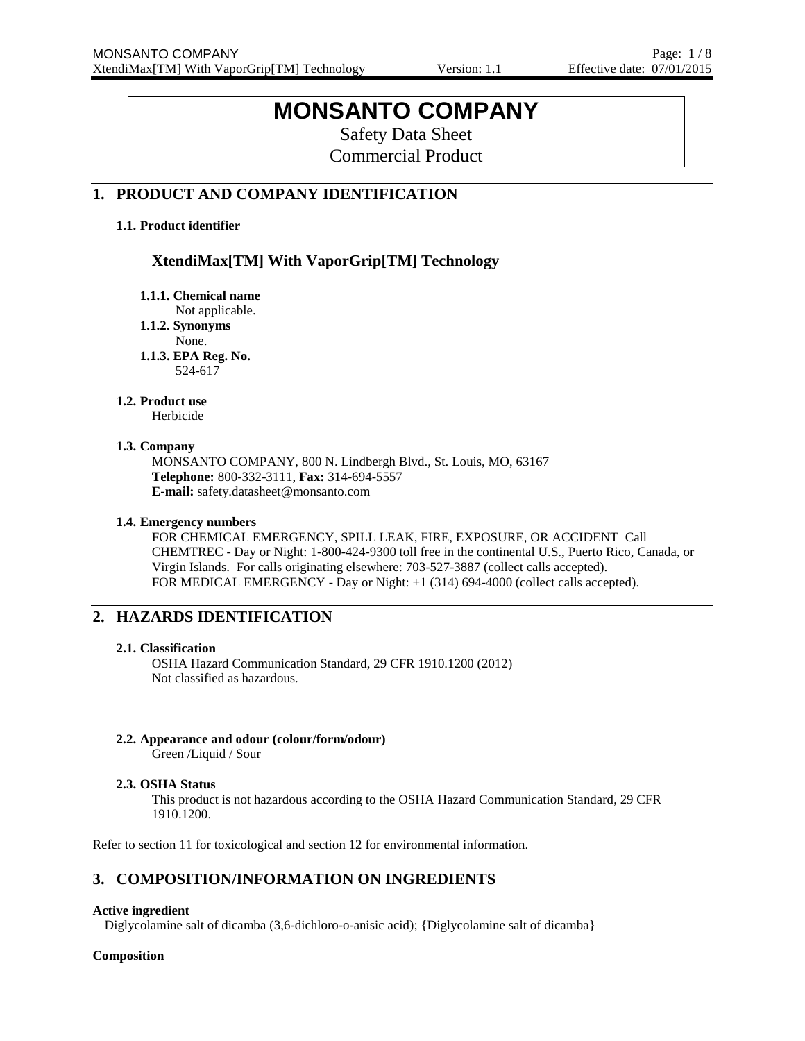# **MONSANTO COMPANY**

Safety Data Sheet Commercial Product

# **1. PRODUCT AND COMPANY IDENTIFICATION**

### **1.1. Product identifier**

# **XtendiMax[TM] With VaporGrip[TM] Technology**

**1.1.1. Chemical name**

Not applicable.

**1.1.2. Synonyms**

None.

**1.1.3. EPA Reg. No.** 524-617

#### **1.2. Product use**

Herbicide

### **1.3. Company**

MONSANTO COMPANY, 800 N. Lindbergh Blvd., St. Louis, MO, 63167 **Telephone:** 800-332-3111, **Fax:** 314-694-5557 **E-mail:** safety.datasheet@monsanto.com

### **1.4. Emergency numbers**

FOR CHEMICAL EMERGENCY, SPILL LEAK, FIRE, EXPOSURE, OR ACCIDENT Call CHEMTREC - Day or Night: 1-800-424-9300 toll free in the continental U.S., Puerto Rico, Canada, or Virgin Islands. For calls originating elsewhere: 703-527-3887 (collect calls accepted). FOR MEDICAL EMERGENCY - Day or Night: +1 (314) 694-4000 (collect calls accepted).

# **2. HAZARDS IDENTIFICATION**

#### **2.1. Classification**

OSHA Hazard Communication Standard, 29 CFR 1910.1200 (2012) Not classified as hazardous.

# **2.2. Appearance and odour (colour/form/odour)**

Green /Liquid / Sour

#### **2.3. OSHA Status**

This product is not hazardous according to the OSHA Hazard Communication Standard, 29 CFR 1910.1200.

Refer to section 11 for toxicological and section 12 for environmental information.

# **3. COMPOSITION/INFORMATION ON INGREDIENTS**

#### **Active ingredient**

Diglycolamine salt of dicamba (3,6-dichloro-o-anisic acid); {Diglycolamine salt of dicamba}

#### **Composition**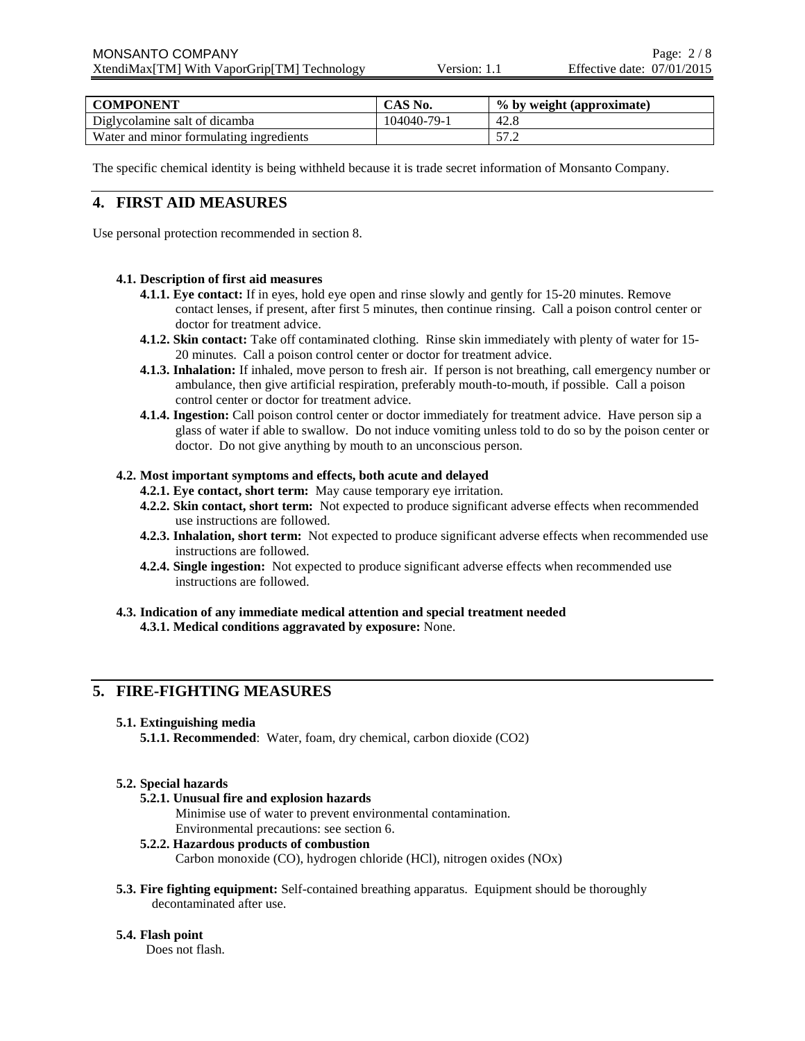| <b>COMPONENT</b>                        | CAS No.     | % by weight (approximate) |
|-----------------------------------------|-------------|---------------------------|
| Diglycolamine salt of dicamba           | 104040-79-1 | 42.8                      |
| Water and minor formulating ingredients |             | 57 C                      |

The specific chemical identity is being withheld because it is trade secret information of Monsanto Company.

# **4. FIRST AID MEASURES**

Use personal protection recommended in section 8.

# **4.1. Description of first aid measures**

- **4.1.1. Eye contact:** If in eyes, hold eye open and rinse slowly and gently for 15-20 minutes. Remove contact lenses, if present, after first 5 minutes, then continue rinsing. Call a poison control center or doctor for treatment advice.
- **4.1.2. Skin contact:** Take off contaminated clothing. Rinse skin immediately with plenty of water for 15- 20 minutes. Call a poison control center or doctor for treatment advice.
- **4.1.3. Inhalation:** If inhaled, move person to fresh air. If person is not breathing, call emergency number or ambulance, then give artificial respiration, preferably mouth-to-mouth, if possible. Call a poison control center or doctor for treatment advice.
- **4.1.4. Ingestion:** Call poison control center or doctor immediately for treatment advice. Have person sip a glass of water if able to swallow. Do not induce vomiting unless told to do so by the poison center or doctor. Do not give anything by mouth to an unconscious person.

### **4.2. Most important symptoms and effects, both acute and delayed**

- **4.2.1. Eye contact, short term:** May cause temporary eye irritation.
- **4.2.2. Skin contact, short term:** Not expected to produce significant adverse effects when recommended use instructions are followed.
- **4.2.3. Inhalation, short term:** Not expected to produce significant adverse effects when recommended use instructions are followed.
- **4.2.4. Single ingestion:** Not expected to produce significant adverse effects when recommended use instructions are followed.

# **4.3. Indication of any immediate medical attention and special treatment needed 4.3.1. Medical conditions aggravated by exposure:** None.

# **5. FIRE-FIGHTING MEASURES**

# **5.1. Extinguishing media**

**5.1.1. Recommended**: Water, foam, dry chemical, carbon dioxide (CO2)

# **5.2. Special hazards**

# **5.2.1. Unusual fire and explosion hazards**

Minimise use of water to prevent environmental contamination. Environmental precautions: see section 6.

- **5.2.2. Hazardous products of combustion** Carbon monoxide (CO), hydrogen chloride (HCl), nitrogen oxides (NOx)
- **5.3. Fire fighting equipment:** Self-contained breathing apparatus. Equipment should be thoroughly decontaminated after use.

# **5.4. Flash point**

Does not flash.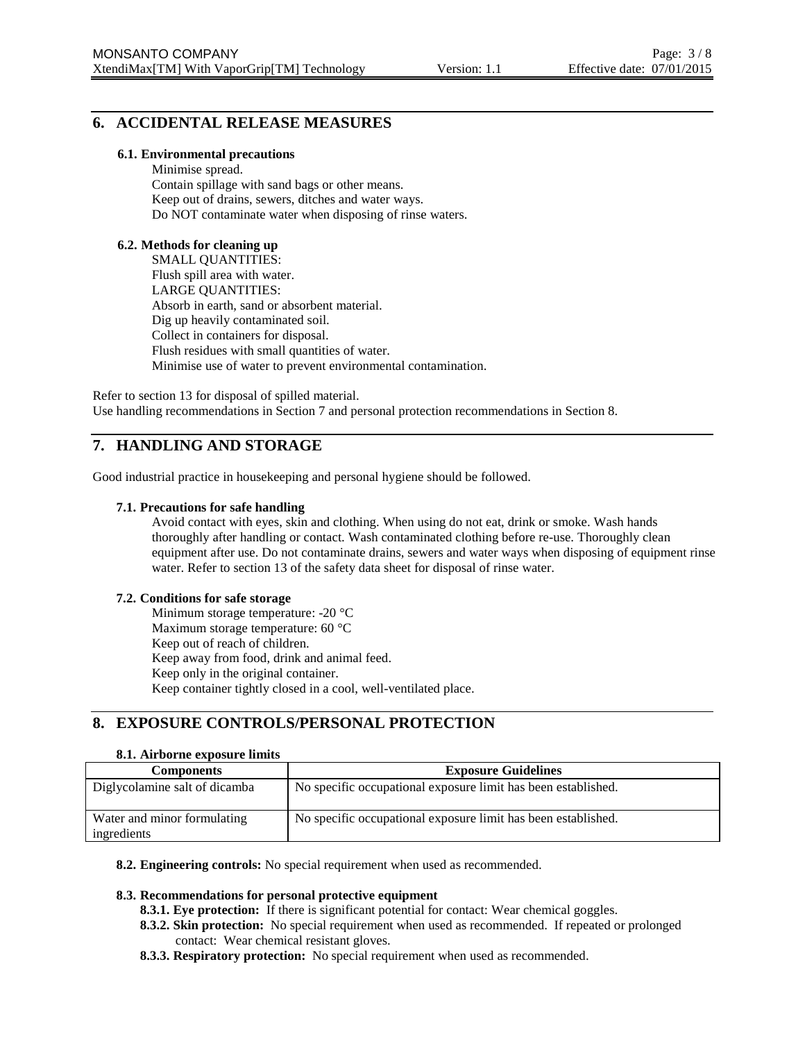# **6. ACCIDENTAL RELEASE MEASURES**

### **6.1. Environmental precautions**

Minimise spread. Contain spillage with sand bags or other means. Keep out of drains, sewers, ditches and water ways. Do NOT contaminate water when disposing of rinse waters.

### **6.2. Methods for cleaning up**

SMALL QUANTITIES: Flush spill area with water. LARGE QUANTITIES: Absorb in earth, sand or absorbent material. Dig up heavily contaminated soil. Collect in containers for disposal. Flush residues with small quantities of water. Minimise use of water to prevent environmental contamination.

Refer to section 13 for disposal of spilled material. Use handling recommendations in Section 7 and personal protection recommendations in Section 8.

# **7. HANDLING AND STORAGE**

Good industrial practice in housekeeping and personal hygiene should be followed.

#### **7.1. Precautions for safe handling**

Avoid contact with eyes, skin and clothing. When using do not eat, drink or smoke. Wash hands thoroughly after handling or contact. Wash contaminated clothing before re-use. Thoroughly clean equipment after use. Do not contaminate drains, sewers and water ways when disposing of equipment rinse water. Refer to section 13 of the safety data sheet for disposal of rinse water.

#### **7.2. Conditions for safe storage**

Minimum storage temperature: -20 °C Maximum storage temperature: 60 °C Keep out of reach of children. Keep away from food, drink and animal feed. Keep only in the original container. Keep container tightly closed in a cool, well-ventilated place.

# **8. EXPOSURE CONTROLS/PERSONAL PROTECTION**

#### **8.1. Airborne exposure limits**

| <b>Components</b>                          | <b>Exposure Guidelines</b>                                    |
|--------------------------------------------|---------------------------------------------------------------|
| Diglycolamine salt of dicamba              | No specific occupational exposure limit has been established. |
| Water and minor formulating<br>ingredients | No specific occupational exposure limit has been established. |

#### **8.2. Engineering controls:** No special requirement when used as recommended.

### **8.3. Recommendations for personal protective equipment**

- **8.3.1. Eye protection:** If there is significant potential for contact: Wear chemical goggles.
- **8.3.2. Skin protection:** No special requirement when used as recommended. If repeated or prolonged contact: Wear chemical resistant gloves.
- **8.3.3. Respiratory protection:** No special requirement when used as recommended.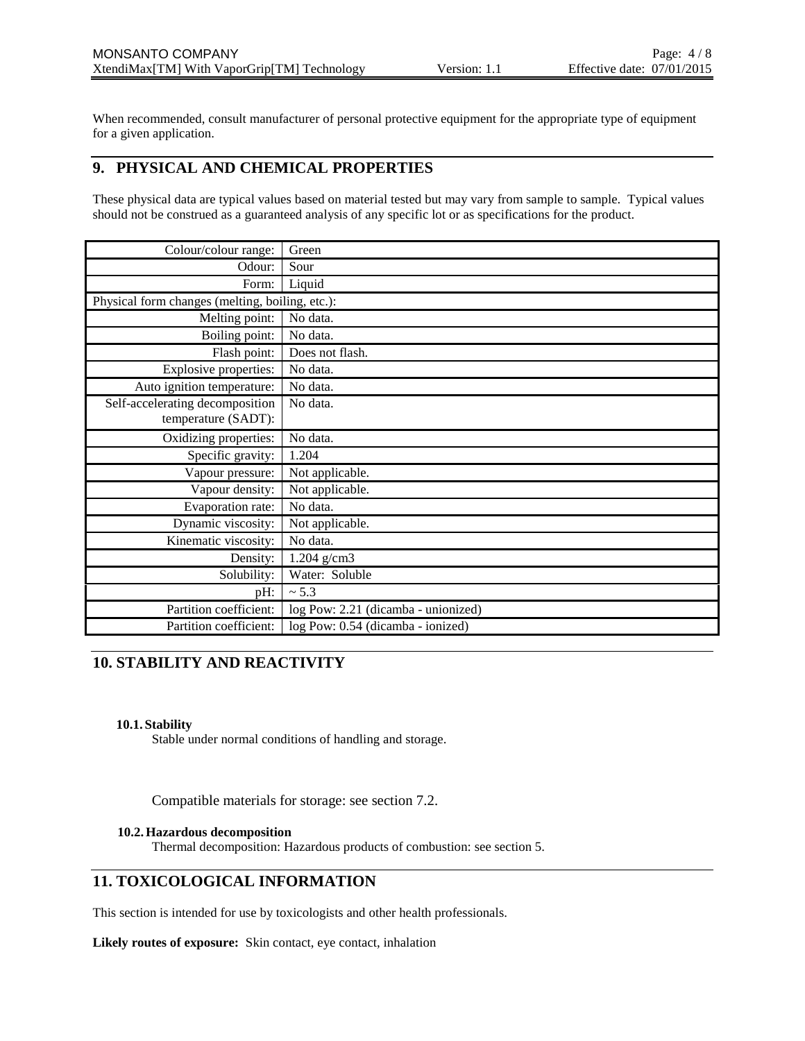When recommended, consult manufacturer of personal protective equipment for the appropriate type of equipment for a given application.

# **9. PHYSICAL AND CHEMICAL PROPERTIES**

These physical data are typical values based on material tested but may vary from sample to sample. Typical values should not be construed as a guaranteed analysis of any specific lot or as specifications for the product.

| Colour/colour range:                            | Green                               |
|-------------------------------------------------|-------------------------------------|
| Odour:                                          | Sour                                |
| Form:                                           | Liquid                              |
| Physical form changes (melting, boiling, etc.): |                                     |
| Melting point:                                  | No data.                            |
| Boiling point:                                  | No data.                            |
| Flash point:                                    | Does not flash.                     |
| Explosive properties:                           | No data.                            |
| Auto ignition temperature:                      | No data.                            |
| Self-accelerating decomposition                 | No data.                            |
| temperature (SADT):                             |                                     |
| Oxidizing properties:                           | No data.                            |
| Specific gravity:                               | 1.204                               |
| Vapour pressure:                                | Not applicable.                     |
| Vapour density:                                 | Not applicable.                     |
| Evaporation rate:                               | No data.                            |
| Dynamic viscosity:                              | Not applicable.                     |
| Kinematic viscosity:                            | No data.                            |
| Density:                                        | 1.204 g/cm3                         |
| Solubility:                                     | Water: Soluble                      |
| pH:                                             | ~5.3                                |
| Partition coefficient:                          | log Pow: 2.21 (dicamba - unionized) |
| Partition coefficient:                          | log Pow: 0.54 (dicamba - ionized)   |

# **10. STABILITY AND REACTIVITY**

#### **10.1. Stability**

Stable under normal conditions of handling and storage.

Compatible materials for storage: see section 7.2.

# **10.2.Hazardous decomposition**

Thermal decomposition: Hazardous products of combustion: see section 5.

# **11. TOXICOLOGICAL INFORMATION**

This section is intended for use by toxicologists and other health professionals.

**Likely routes of exposure:** Skin contact, eye contact, inhalation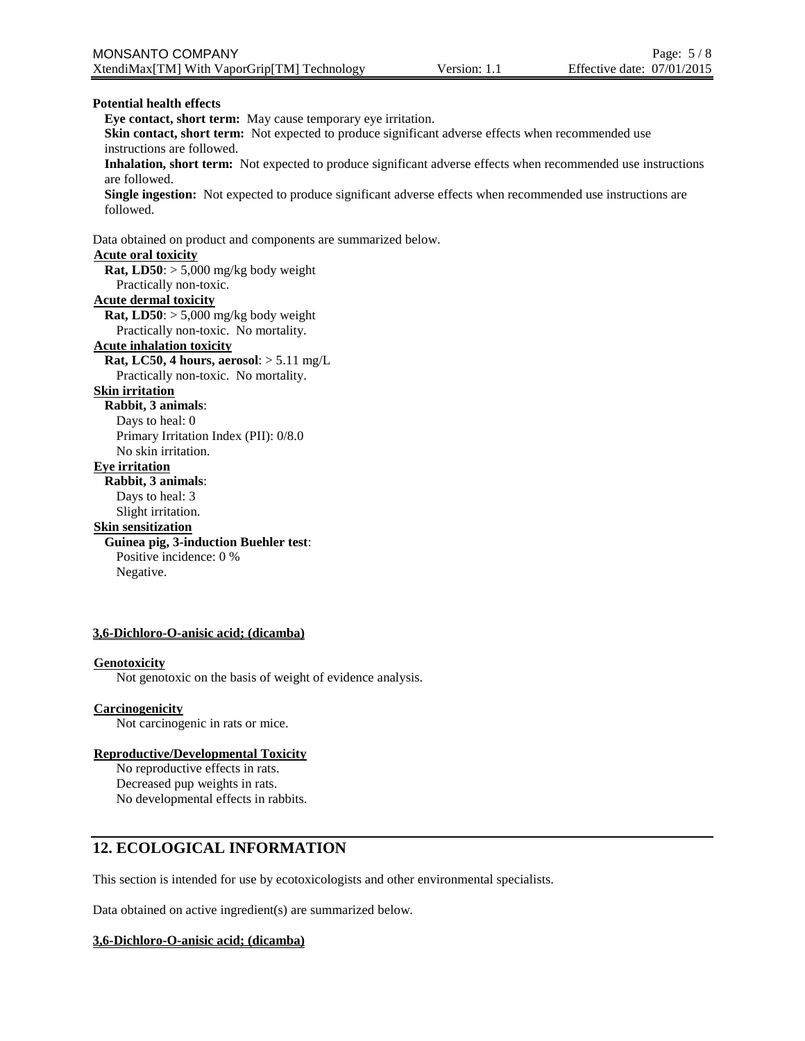### **Potential health effects**

**Eye contact, short term:** May cause temporary eye irritation.

**Skin contact, short term:** Not expected to produce significant adverse effects when recommended use instructions are followed.

**Inhalation, short term:** Not expected to produce significant adverse effects when recommended use instructions are followed.

**Single ingestion:** Not expected to produce significant adverse effects when recommended use instructions are followed.

Data obtained on product and components are summarized below.

### **Acute oral toxicity**

**Rat, LD50**:  $> 5,000$  mg/kg body weight Practically non-toxic.

### **Acute dermal toxicity**

**Rat, LD50**:  $> 5,000$  mg/kg body weight Practically non-toxic. No mortality.

# **Acute inhalation toxicity**

**Rat, LC50, 4 hours, aerosol**: > 5.11 mg/L Practically non-toxic. No mortality.

#### **Skin irritation**

**Rabbit, 3 animals**: Days to heal: 0 Primary Irritation Index (PII): 0/8.0

No skin irritation.

# **Eye irritation**

**Rabbit, 3 animals**: Days to heal: 3 Slight irritation.

#### **Skin sensitization**

#### **Guinea pig, 3-induction Buehler test**:

Positive incidence: 0 % Negative.

#### **3,6-Dichloro-O-anisic acid; (dicamba)**

#### **Genotoxicity**

Not genotoxic on the basis of weight of evidence analysis.

#### **Carcinogenicity**

Not carcinogenic in rats or mice.

#### **Reproductive/Developmental Toxicity**

No reproductive effects in rats. Decreased pup weights in rats. No developmental effects in rabbits.

# **12. ECOLOGICAL INFORMATION**

This section is intended for use by ecotoxicologists and other environmental specialists.

Data obtained on active ingredient(s) are summarized below.

#### **3,6-Dichloro-O-anisic acid; (dicamba)**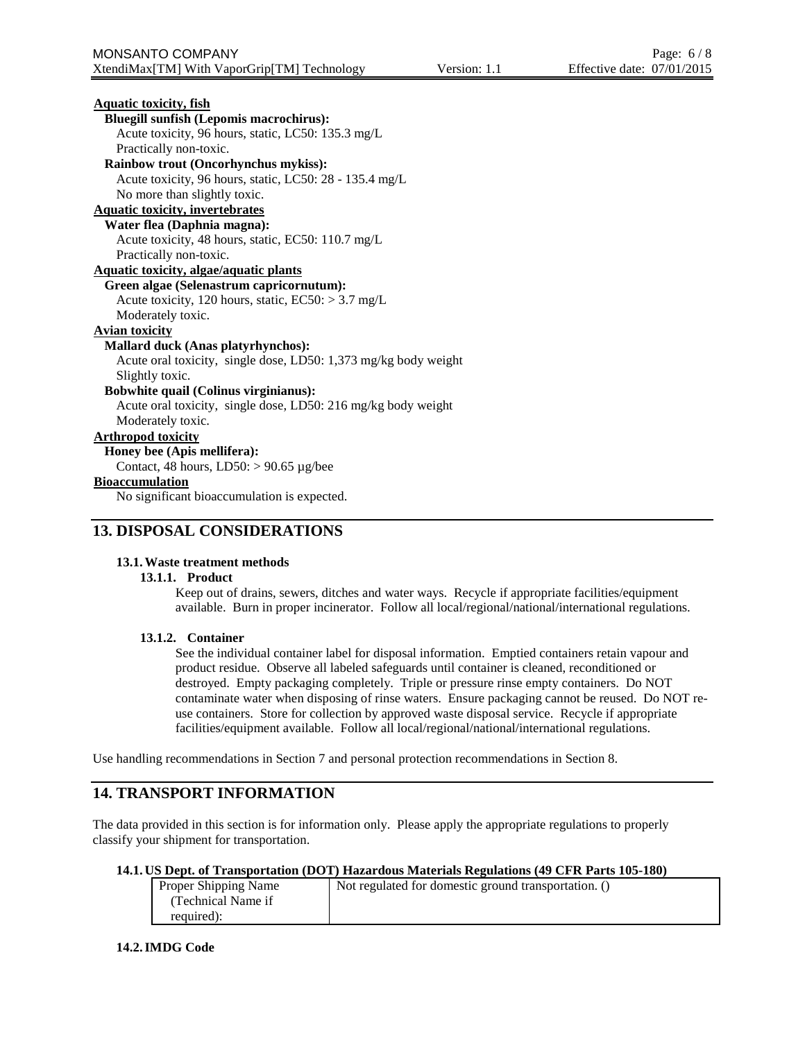| <u>Aquatic toxicity, fish</u>                                   |
|-----------------------------------------------------------------|
| <b>Bluegill sunfish (Lepomis macrochirus):</b>                  |
| Acute toxicity, 96 hours, static, LC50: 135.3 mg/L              |
| Practically non-toxic.                                          |
| Rainbow trout (Oncorhynchus mykiss):                            |
| Acute toxicity, 96 hours, static, LC50: 28 - 135.4 mg/L         |
| No more than slightly toxic.                                    |
| <b>Aquatic toxicity, invertebrates</b>                          |
| Water flea (Daphnia magna):                                     |
| Acute toxicity, 48 hours, static, EC50: 110.7 mg/L              |
| Practically non-toxic.                                          |
| <b>Aquatic toxicity, algae/aquatic plants</b>                   |
| Green algae (Selenastrum capricornutum):                        |
| Acute toxicity, 120 hours, static, $EC50$ : > 3.7 mg/L          |
| Moderately toxic.                                               |
| <b>Avian toxicity</b>                                           |
| <b>Mallard duck (Anas platyrhynchos):</b>                       |
| Acute oral toxicity, single dose, LD50: 1,373 mg/kg body weight |
| Slightly toxic.                                                 |
| <b>Bobwhite quail (Colinus virginianus):</b>                    |
| Acute oral toxicity, single dose, LD50: 216 mg/kg body weight   |
| Moderately toxic.                                               |
| <b>Arthropod toxicity</b>                                       |
| Honey bee (Apis mellifera):                                     |
| Contact, 48 hours, $LD50:$ > 90.65 µg/bee                       |
| <b>Bioaccumulation</b>                                          |
| No significant bioaccumulation is expected.                     |
|                                                                 |

# **13. DISPOSAL CONSIDERATIONS**

# **13.1.Waste treatment methods**

# **13.1.1. Product**

Keep out of drains, sewers, ditches and water ways. Recycle if appropriate facilities/equipment available. Burn in proper incinerator. Follow all local/regional/national/international regulations.

#### **13.1.2. Container**

See the individual container label for disposal information. Emptied containers retain vapour and product residue. Observe all labeled safeguards until container is cleaned, reconditioned or destroyed. Empty packaging completely. Triple or pressure rinse empty containers. Do NOT contaminate water when disposing of rinse waters. Ensure packaging cannot be reused. Do NOT reuse containers. Store for collection by approved waste disposal service. Recycle if appropriate facilities/equipment available. Follow all local/regional/national/international regulations.

Use handling recommendations in Section 7 and personal protection recommendations in Section 8.

# **14. TRANSPORT INFORMATION**

The data provided in this section is for information only. Please apply the appropriate regulations to properly classify your shipment for transportation.

#### **14.1. US Dept. of Transportation (DOT) Hazardous Materials Regulations (49 CFR Parts 105-180)**

| Proper Shipping Name | Not regulated for domestic ground transportation. () |
|----------------------|------------------------------------------------------|
| (Technical Name if   |                                                      |
| required):           |                                                      |

# **14.2.IMDG Code**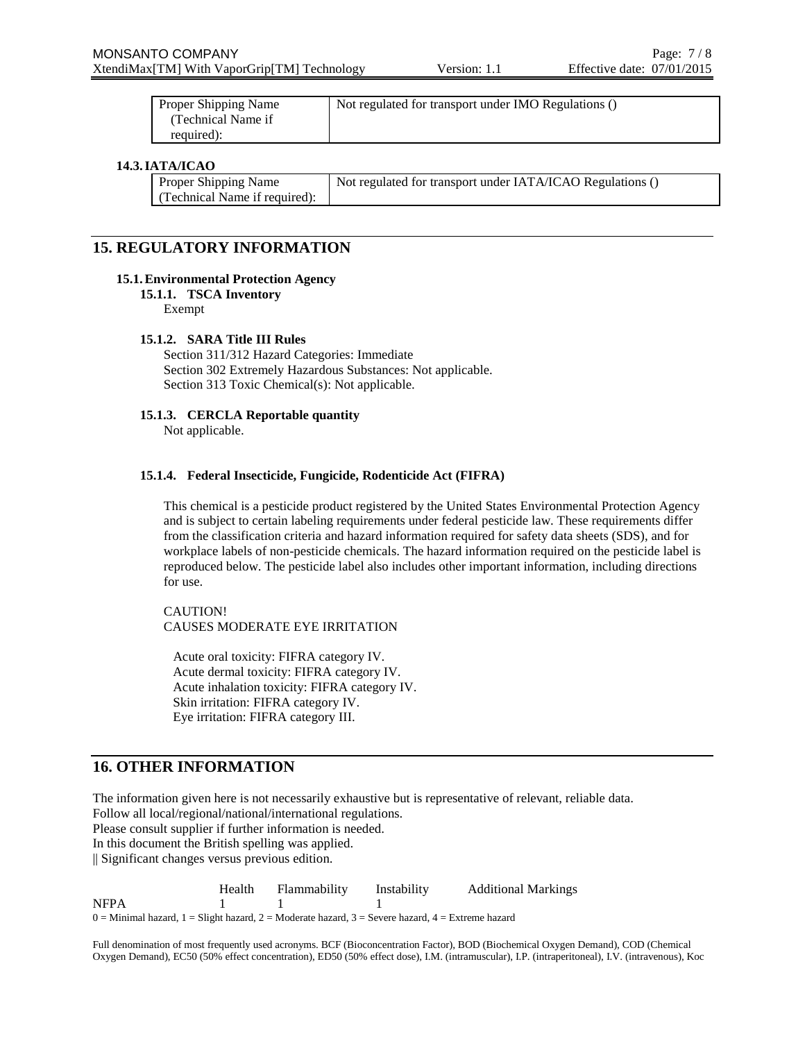#### **14.3.IATA/ICAO**

| <b>Proper Shipping Name</b>   | Not regulated for transport under IATA/ICAO Regulations () |
|-------------------------------|------------------------------------------------------------|
| (Technical Name if required): |                                                            |

# **15. REGULATORY INFORMATION**

#### **15.1.Environmental Protection Agency**

**15.1.1. TSCA Inventory**

Exempt

#### **15.1.2. SARA Title III Rules**

Section 311/312 Hazard Categories: Immediate Section 302 Extremely Hazardous Substances: Not applicable. Section 313 Toxic Chemical(s): Not applicable.

#### **15.1.3. CERCLA Reportable quantity**

Not applicable.

### **15.1.4. Federal Insecticide, Fungicide, Rodenticide Act (FIFRA)**

This chemical is a pesticide product registered by the United States Environmental Protection Agency and is subject to certain labeling requirements under federal pesticide law. These requirements differ from the classification criteria and hazard information required for safety data sheets (SDS), and for workplace labels of non-pesticide chemicals. The hazard information required on the pesticide label is reproduced below. The pesticide label also includes other important information, including directions for use.

CAUTION! CAUSES MODERATE EYE IRRITATION

Acute oral toxicity: FIFRA category IV. Acute dermal toxicity: FIFRA category IV. Acute inhalation toxicity: FIFRA category IV. Skin irritation: FIFRA category IV. Eye irritation: FIFRA category III.

# **16. OTHER INFORMATION**

The information given here is not necessarily exhaustive but is representative of relevant, reliable data.

Follow all local/regional/national/international regulations.

Please consult supplier if further information is needed.

In this document the British spelling was applied.

|| Significant changes versus previous edition.

Health Flammability Instability Additional Markings NFPA 1 1 1 0 = Minimal hazard, 1 = Slight hazard, 2 = Moderate hazard, 3 = Severe hazard, 4 = Extreme hazard

Full denomination of most frequently used acronyms. BCF (Bioconcentration Factor), BOD (Biochemical Oxygen Demand), COD (Chemical Oxygen Demand), EC50 (50% effect concentration), ED50 (50% effect dose), I.M. (intramuscular), I.P. (intraperitoneal), I.V. (intravenous), Koc